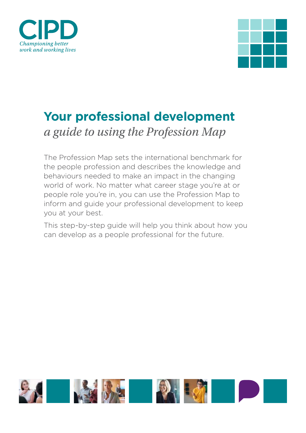



# **Your professional development**  *a guide to using the Profession Map*

The Profession Map sets the international benchmark for the people profession and describes the knowledge and behaviours needed to make an impact in the changing world of work. No matter what career stage you're at or people role you're in, you can use the Profession Map to inform and guide your professional development to keep you at your best.

This step-by-step guide will help you think about how you can develop as a people professional for the future.

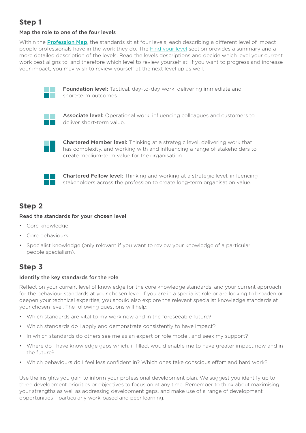## **Step 1**

#### Map the role to one of the four levels

Within the **Pro[fession Map](https://peopleprofession.cipd.org/profession-map)**, the standards sit at four levels, each describing a different level of impact people professionals have in the work they do. The [Find your level](https://peopleprofession.cipd.org/find-your-level) section provides a summary and a more detailed description of the levels. Read the levels descriptions and decide which level your current work best aligns to, and therefore which level to review yourself at. If you want to progress and increase your impact, you may wish to review yourself at the next level up as well.



Foundation level: Tactical, day-to-day work, delivering immediate and short-term outcomes.



Associate level: Operational work, influencing colleagues and customers to deliver short-term value.



Chartered Member level: Thinking at a strategic level, delivering work that has complexity, and working with and influencing a range of stakeholders to create medium-term value for the organisation.



Chartered Fellow level: Thinking and working at a strategic level, influencing stakeholders across the profession to create long-term organisation value.

## **Step 2**

#### Read the standards for your chosen level

- Core knowledge
- Core behaviours
- Specialist knowledge (only relevant if you want to review your knowledge of a particular people specialism).

## **Step 3**

#### Identify the key standards for the role

Reflect on your current level of knowledge for the core knowledge standards, and your current approach for the behaviour standards at your chosen level. If you are in a specialist role or are looking to broaden or deepen your technical expertise, you should also explore the relevant specialist knowledge standards at your chosen level. The following questions will help:

- Which standards are vital to my work now and in the foreseeable future?
- Which standards do I apply and demonstrate consistently to have impact?
- In which standards do others see me as an expert or role model, and seek my support?
- Where do I have knowledge gaps which, if filled, would enable me to have greater impact now and in the future?
- Which behaviours do I feel less confident in? Which ones take conscious effort and hard work?

Use the insights you gain to inform your professional development plan. We suggest you identify up to three development priorities or objectives to focus on at any time. Remember to think about maximising your strengths as well as addressing development gaps, and make use of a range of development opportunities – particularly work-based and peer learning.